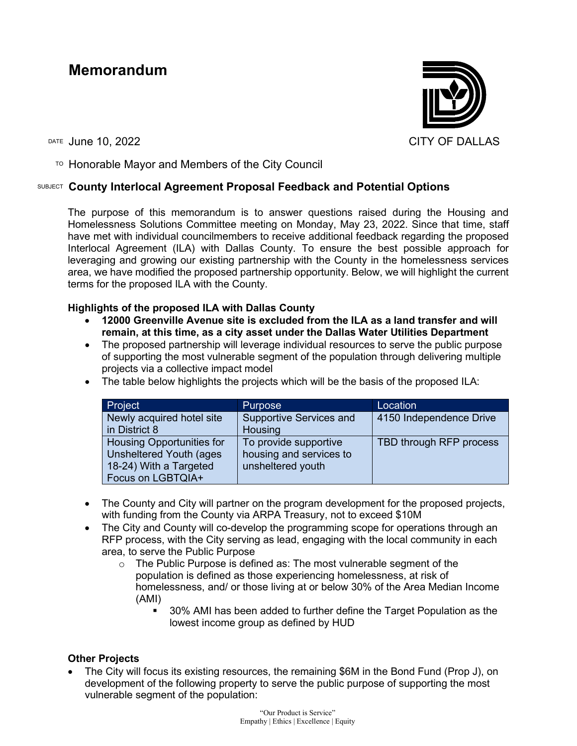# **Memorandum**



 $\overline{P}$  Honorable Mayor and Members of the City Council

### SUBJECT **County Interlocal Agreement Proposal Feedback and Potential Options**

The purpose of this memorandum is to answer questions raised during the Housing and Homelessness Solutions Committee meeting on Monday, May 23, 2022. Since that time, staff have met with individual councilmembers to receive additional feedback regarding the proposed Interlocal Agreement (ILA) with Dallas County. To ensure the best possible approach for leveraging and growing our existing partnership with the County in the homelessness services area, we have modified the proposed partnership opportunity. Below, we will highlight the current terms for the proposed ILA with the County.

#### **Highlights of the proposed ILA with Dallas County**

- **12000 Greenville Avenue site is excluded from the ILA as a land transfer and will remain, at this time, as a city asset under the Dallas Water Utilities Department**
- The proposed partnership will leverage individual resources to serve the public purpose of supporting the most vulnerable segment of the population through delivering multiple projects via a collective impact model

| Project                          | <b>Purpose</b>                 | Location                |
|----------------------------------|--------------------------------|-------------------------|
| Newly acquired hotel site        | <b>Supportive Services and</b> | 4150 Independence Drive |
| in District 8                    | Housing                        |                         |
| <b>Housing Opportunities for</b> | To provide supportive          | TBD through RFP process |
| Unsheltered Youth (ages          | housing and services to        |                         |
| 18-24) With a Targeted           | unsheltered youth              |                         |
| Focus on LGBTQIA+                |                                |                         |

• The table below highlights the projects which will be the basis of the proposed ILA:

- The County and City will partner on the program development for the proposed projects, with funding from the County via ARPA Treasury, not to exceed \$10M
- The City and County will co-develop the programming scope for operations through an RFP process, with the City serving as lead, engaging with the local community in each area, to serve the Public Purpose
	- $\circ$  The Public Purpose is defined as: The most vulnerable segment of the population is defined as those experiencing homelessness, at risk of homelessness, and/ or those living at or below 30% of the Area Median Income (AMI)
		- 30% AMI has been added to further define the Target Population as the lowest income group as defined by HUD

## **Other Projects**

• The City will focus its existing resources, the remaining \$6M in the Bond Fund (Prop J), on development of the following property to serve the public purpose of supporting the most vulnerable segment of the population: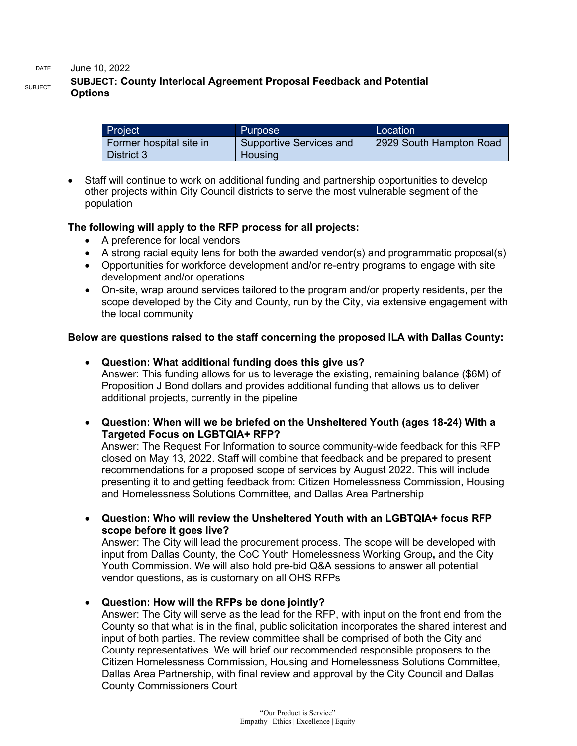DATE June 10, 2022

# SUBJECT **SUBJECT: County Interlocal Agreement Proposal Feedback and Potential Options**

| Project                 | <b>Purpose</b>          | Location <sup>1</sup>   |
|-------------------------|-------------------------|-------------------------|
| Former hospital site in | Supportive Services and | 2929 South Hampton Road |
| District 3              | Housing                 |                         |

• Staff will continue to work on additional funding and partnership opportunities to develop other projects within City Council districts to serve the most vulnerable segment of the population

### **The following will apply to the RFP process for all projects:**

- A preference for local vendors
- A strong racial equity lens for both the awarded vendor(s) and programmatic proposal(s)
- Opportunities for workforce development and/or re-entry programs to engage with site development and/or operations
- On-site, wrap around services tailored to the program and/or property residents, per the scope developed by the City and County, run by the City, via extensive engagement with the local community

### **Below are questions raised to the staff concerning the proposed ILA with Dallas County:**

- **Question: What additional funding does this give us?**  Answer: This funding allows for us to leverage the existing, remaining balance (\$6M) of Proposition J Bond dollars and provides additional funding that allows us to deliver additional projects, currently in the pipeline
- **Question: When will we be briefed on the Unsheltered Youth (ages 18-24) With a Targeted Focus on LGBTQIA+ RFP?**

Answer: The Request For Information to source community-wide feedback for this RFP closed on May 13, 2022. Staff will combine that feedback and be prepared to present recommendations for a proposed scope of services by August 2022. This will include presenting it to and getting feedback from: Citizen Homelessness Commission, Housing and Homelessness Solutions Committee, and Dallas Area Partnership

• **Question: Who will review the Unsheltered Youth with an LGBTQIA+ focus RFP scope before it goes live?**

Answer: The City will lead the procurement process. The scope will be developed with input from Dallas County, the CoC Youth Homelessness Working Group**,** and the City Youth Commission. We will also hold pre-bid Q&A sessions to answer all potential vendor questions, as is customary on all OHS RFPs

• **Question: How will the RFPs be done jointly?**

Answer: The City will serve as the lead for the RFP, with input on the front end from the County so that what is in the final, public solicitation incorporates the shared interest and input of both parties. The review committee shall be comprised of both the City and County representatives. We will brief our recommended responsible proposers to the Citizen Homelessness Commission, Housing and Homelessness Solutions Committee, Dallas Area Partnership, with final review and approval by the City Council and Dallas County Commissioners Court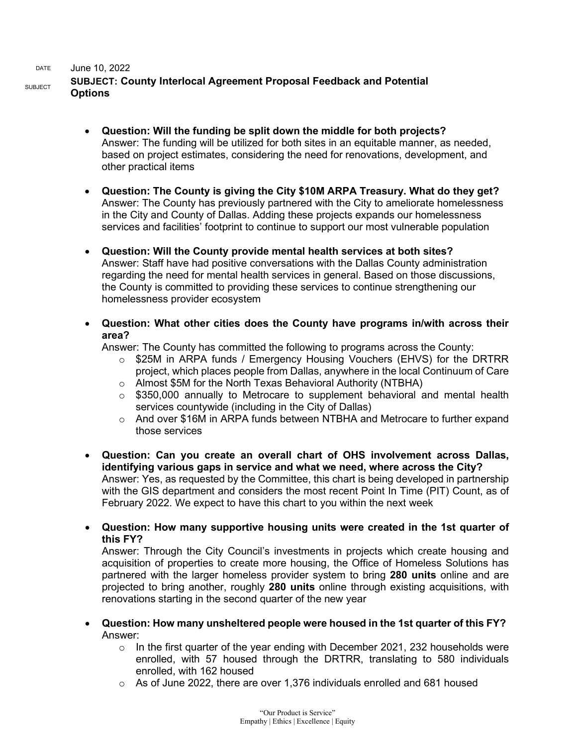#### DATE June 10, 2022

## SUBJECT **SUBJECT: County Interlocal Agreement Proposal Feedback and Potential Options**

- **Question: Will the funding be split down the middle for both projects?** Answer: The funding will be utilized for both sites in an equitable manner, as needed, based on project estimates, considering the need for renovations, development, and other practical items
- **Question: The County is giving the City \$10M ARPA Treasury. What do they get?** Answer: The County has previously partnered with the City to ameliorate homelessness in the City and County of Dallas. Adding these projects expands our homelessness services and facilities' footprint to continue to support our most vulnerable population
- **Question: Will the County provide mental health services at both sites?** Answer: Staff have had positive conversations with the Dallas County administration regarding the need for mental health services in general. Based on those discussions, the County is committed to providing these services to continue strengthening our homelessness provider ecosystem
- **Question: What other cities does the County have programs in/with across their area?**

Answer: The County has committed the following to programs across the County:

- o \$25M in ARPA funds / Emergency Housing Vouchers (EHVS) for the DRTRR project, which places people from Dallas, anywhere in the local Continuum of Care
- o Almost \$5M for the North Texas Behavioral Authority (NTBHA)
- $\circ$  \$350,000 annually to Metrocare to supplement behavioral and mental health services countywide (including in the City of Dallas)
- $\circ$  And over \$16M in ARPA funds between NTBHA and Metrocare to further expand those services
- **Question: Can you create an overall chart of OHS involvement across Dallas, identifying various gaps in service and what we need, where across the City?** Answer: Yes, as requested by the Committee, this chart is being developed in partnership with the GIS department and considers the most recent Point In Time (PIT) Count, as of February 2022. We expect to have this chart to you within the next week
- **Question: How many supportive housing units were created in the 1st quarter of this FY?**

Answer: Through the City Council's investments in projects which create housing and acquisition of properties to create more housing, the Office of Homeless Solutions has partnered with the larger homeless provider system to bring **280 units** online and are projected to bring another, roughly **280 units** online through existing acquisitions, with renovations starting in the second quarter of the new year

- **Question: How many unsheltered people were housed in the 1st quarter of this FY?** Answer:
	- $\circ$  In the first quarter of the year ending with December 2021, 232 households were enrolled, with 57 housed through the DRTRR, translating to 580 individuals enrolled, with 162 housed
	- o As of June 2022, there are over 1,376 individuals enrolled and 681 housed